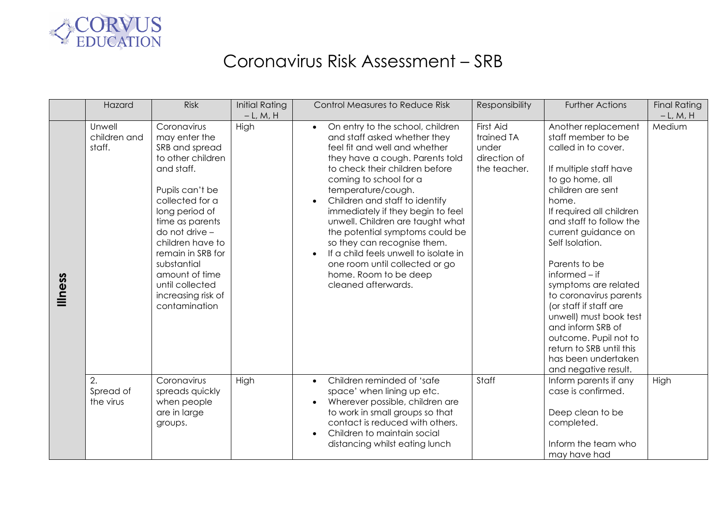

## Coronavirus Risk Assessment – SRB

|         | Hazard                           | <b>Risk</b>                                                                                                                                                                                                                                                                                                        | <b>Initial Rating</b><br>$-L, M, H$ | <b>Control Measures to Reduce Risk</b>                                                                                                                                                                                                                                                                                                                                                                                                                                                                                                      | Responsibility                                                   | <b>Further Actions</b>                                                                                                                                                                                                                                                                                                                                                                                                                                                                                          | <b>Final Rating</b><br>$-L, M, H$ |
|---------|----------------------------------|--------------------------------------------------------------------------------------------------------------------------------------------------------------------------------------------------------------------------------------------------------------------------------------------------------------------|-------------------------------------|---------------------------------------------------------------------------------------------------------------------------------------------------------------------------------------------------------------------------------------------------------------------------------------------------------------------------------------------------------------------------------------------------------------------------------------------------------------------------------------------------------------------------------------------|------------------------------------------------------------------|-----------------------------------------------------------------------------------------------------------------------------------------------------------------------------------------------------------------------------------------------------------------------------------------------------------------------------------------------------------------------------------------------------------------------------------------------------------------------------------------------------------------|-----------------------------------|
| lliness | Unwell<br>children and<br>staff. | Coronavirus<br>may enter the<br>SRB and spread<br>to other children<br>and staff.<br>Pupils can't be<br>collected for a<br>long period of<br>time as parents<br>do not drive -<br>children have to<br>remain in SRB for<br>substantial<br>amount of time<br>until collected<br>increasing risk of<br>contamination | High                                | On entry to the school, children<br>$\bullet$<br>and staff asked whether they<br>feel fit and well and whether<br>they have a cough. Parents told<br>to check their children before<br>coming to school for a<br>temperature/cough.<br>Children and staff to identify<br>immediately if they begin to feel<br>unwell. Children are taught what<br>the potential symptoms could be<br>so they can recognise them.<br>If a child feels unwell to isolate in<br>one room until collected or go<br>home. Room to be deep<br>cleaned afterwards. | First Aid<br>trained TA<br>under<br>direction of<br>the teacher. | Another replacement<br>staff member to be<br>called in to cover.<br>If multiple staff have<br>to go home, all<br>children are sent<br>home.<br>If required all children<br>and staff to follow the<br>current guidance on<br>Self Isolation.<br>Parents to be<br>$informed - if$<br>symptoms are related<br>to coronavirus parents<br>(or staff if staff are<br>unwell) must book test<br>and inform SRB of<br>outcome. Pupil not to<br>return to SRB until this<br>has been undertaken<br>and negative result. | Medium                            |
|         | 2.<br>Spread of<br>the virus     | Coronavirus<br>spreads quickly<br>when people<br>are in large<br>groups.                                                                                                                                                                                                                                           | High                                | Children reminded of 'safe<br>$\bullet$<br>space' when lining up etc.<br>Wherever possible, children are<br>to work in small groups so that<br>contact is reduced with others.<br>Children to maintain social<br>$\bullet$<br>distancing whilst eating lunch                                                                                                                                                                                                                                                                                | Staff                                                            | Inform parents if any<br>case is confirmed.<br>Deep clean to be<br>completed.<br>Inform the team who<br>may have had                                                                                                                                                                                                                                                                                                                                                                                            | High                              |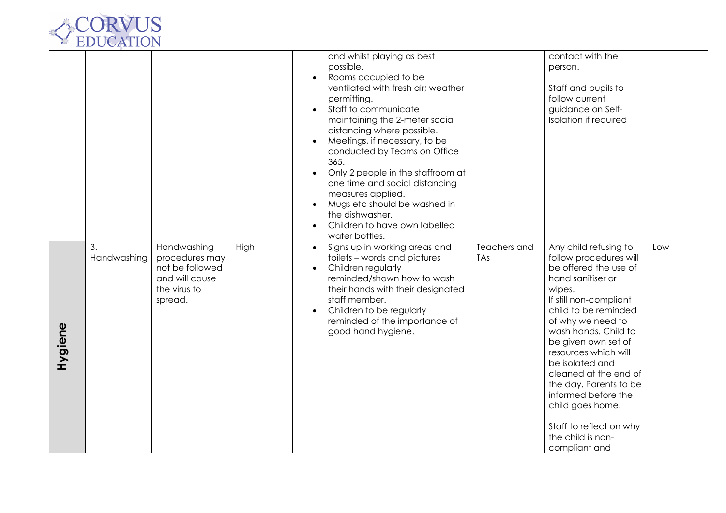

|         |                   |                                                                                               |      | and whilst playing as best<br>possible.<br>Rooms occupied to be<br>ventilated with fresh air; weather<br>permitting.<br>Staff to communicate<br>$\bullet$<br>maintaining the 2-meter social<br>distancing where possible.<br>Meetings, if necessary, to be<br>conducted by Teams on Office<br>365.<br>Only 2 people in the staffroom at<br>one time and social distancing<br>measures applied.<br>Mugs etc should be washed in |                            | contact with the<br>person.<br>Staff and pupils to<br>follow current<br>guidance on Self-<br>Isolation if required                                                                                                                                                                                                                                                                                                                      |     |
|---------|-------------------|-----------------------------------------------------------------------------------------------|------|--------------------------------------------------------------------------------------------------------------------------------------------------------------------------------------------------------------------------------------------------------------------------------------------------------------------------------------------------------------------------------------------------------------------------------|----------------------------|-----------------------------------------------------------------------------------------------------------------------------------------------------------------------------------------------------------------------------------------------------------------------------------------------------------------------------------------------------------------------------------------------------------------------------------------|-----|
|         |                   |                                                                                               |      | the dishwasher.<br>Children to have own labelled<br>water bottles.                                                                                                                                                                                                                                                                                                                                                             |                            |                                                                                                                                                                                                                                                                                                                                                                                                                                         |     |
| Hygiene | 3.<br>Handwashing | Handwashing<br>procedures may<br>not be followed<br>and will cause<br>the virus to<br>spread. | High | Signs up in working areas and<br>$\bullet$<br>toilets - words and pictures<br>Children regularly<br>reminded/shown how to wash<br>their hands with their designated<br>staff member.<br>Children to be regularly<br>reminded of the importance of<br>good hand hygiene.                                                                                                                                                        | Teachers and<br><b>TAs</b> | Any child refusing to<br>follow procedures will<br>be offered the use of<br>hand sanitiser or<br>wipes.<br>If still non-compliant<br>child to be reminded<br>of why we need to<br>wash hands. Child to<br>be given own set of<br>resources which will<br>be isolated and<br>cleaned at the end of<br>the day. Parents to be<br>informed before the<br>child goes home.<br>Staff to reflect on why<br>the child is non-<br>compliant and | Low |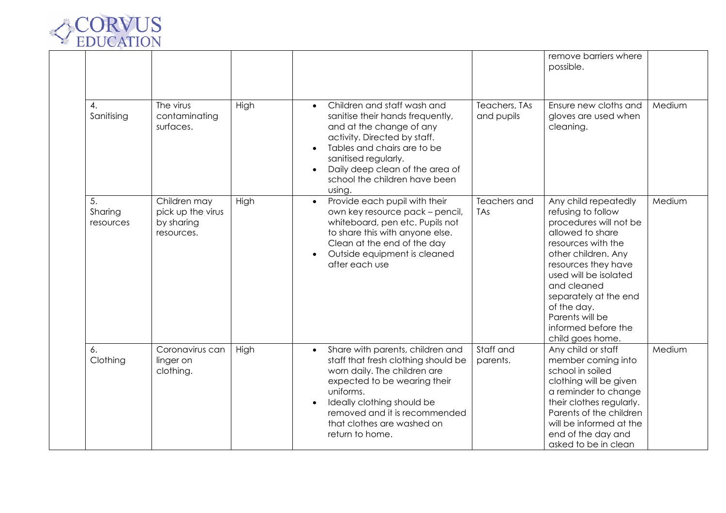

|                            |                                                               |      |                                                                                                                                                                                                                                                                                                         |                             | remove barriers where<br>possible.                                                                                                                                                                                                                                                                         |        |
|----------------------------|---------------------------------------------------------------|------|---------------------------------------------------------------------------------------------------------------------------------------------------------------------------------------------------------------------------------------------------------------------------------------------------------|-----------------------------|------------------------------------------------------------------------------------------------------------------------------------------------------------------------------------------------------------------------------------------------------------------------------------------------------------|--------|
| 4.<br>Sanitising           | The virus<br>contaminating<br>surfaces.                       | High | Children and staff wash and<br>$\bullet$<br>sanitise their hands frequently,<br>and at the change of any<br>activity. Directed by staff.<br>Tables and chairs are to be<br>$\bullet$<br>sanitised regularly.<br>Daily deep clean of the area of<br>$\bullet$<br>school the children have been<br>using. | Teachers, TAs<br>and pupils | Ensure new cloths and<br>gloves are used when<br>cleaning.                                                                                                                                                                                                                                                 | Medium |
| 5.<br>Sharing<br>resources | Children may<br>pick up the virus<br>by sharing<br>resources. | High | Provide each pupil with their<br>$\bullet$<br>own key resource pack - pencil,<br>whiteboard, pen etc. Pupils not<br>to share this with anyone else.<br>Clean at the end of the day<br>Outside equipment is cleaned<br>$\bullet$<br>after each use                                                       | Teachers and<br>TAs         | Any child repeatedly<br>refusing to follow<br>procedures will not be<br>allowed to share<br>resources with the<br>other children. Any<br>resources they have<br>used will be isolated<br>and cleaned<br>separately at the end<br>of the day.<br>Parents will be<br>informed before the<br>child goes home. | Medium |
| 6.<br>Clothing             | Coronavirus can<br>linger on<br>clothing.                     | High | Share with parents, children and<br>$\bullet$<br>staff that fresh clothing should be<br>worn daily. The children are<br>expected to be wearing their<br>uniforms.<br>Ideally clothing should be<br>removed and it is recommended<br>that clothes are washed on<br>return to home.                       | Staff and<br>parents.       | Any child or staff<br>member coming into<br>school in soiled<br>clothing will be given<br>a reminder to change<br>their clothes regularly.<br>Parents of the children<br>will be informed at the<br>end of the day and<br>asked to be in clean                                                             | Medium |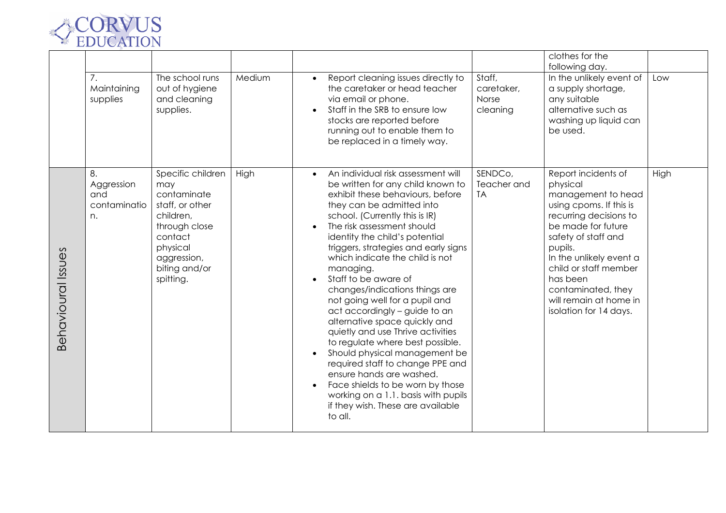

|                    | 7.<br>Maintaining<br>supplies                 | The school runs<br>out of hygiene<br>and cleaning<br>supplies.                                                                                               | Medium | Report cleaning issues directly to<br>$\bullet$<br>the caretaker or head teacher<br>via email or phone.<br>Staff in the SRB to ensure low<br>stocks are reported before<br>running out to enable them to<br>be replaced in a timely way.                                                                                                                                                                                                                                                                                                                                                                                                                                                                                                                                                                           | Staff,<br>caretaker,<br>Norse<br>cleaning | clothes for the<br>following day.<br>In the unlikely event of<br>a supply shortage,<br>any suitable<br>alternative such as<br>washing up liquid can<br>be used.                                                                                                                                              | Low  |
|--------------------|-----------------------------------------------|--------------------------------------------------------------------------------------------------------------------------------------------------------------|--------|--------------------------------------------------------------------------------------------------------------------------------------------------------------------------------------------------------------------------------------------------------------------------------------------------------------------------------------------------------------------------------------------------------------------------------------------------------------------------------------------------------------------------------------------------------------------------------------------------------------------------------------------------------------------------------------------------------------------------------------------------------------------------------------------------------------------|-------------------------------------------|--------------------------------------------------------------------------------------------------------------------------------------------------------------------------------------------------------------------------------------------------------------------------------------------------------------|------|
| Behavioural Issues | 8.<br>Aggression<br>and<br>contaminatio<br>n. | Specific children<br>may<br>contaminate<br>staff, or other<br>children,<br>through close<br>contact<br>physical<br>aggression,<br>biting and/or<br>spitting. | High   | An individual risk assessment will<br>$\bullet$<br>be written for any child known to<br>exhibit these behaviours, before<br>they can be admitted into<br>school. (Currently this is IR)<br>The risk assessment should<br>identity the child's potential<br>triggers, strategies and early signs<br>which indicate the child is not<br>managing.<br>Staff to be aware of<br>changes/indications things are<br>not going well for a pupil and<br>act accordingly - guide to an<br>alternative space quickly and<br>quietly and use Thrive activities<br>to regulate where best possible.<br>Should physical management be<br>required staff to change PPE and<br>ensure hands are washed.<br>Face shields to be worn by those<br>working on a 1.1. basis with pupils<br>if they wish. These are available<br>to all. | SENDCo,<br>Teacher and<br><b>TA</b>       | Report incidents of<br>physical<br>management to head<br>using cpoms. If this is<br>recurring decisions to<br>be made for future<br>safety of staff and<br>pupils.<br>In the unlikely event a<br>child or staff member<br>has been<br>contaminated, they<br>will remain at home in<br>isolation for 14 days. | High |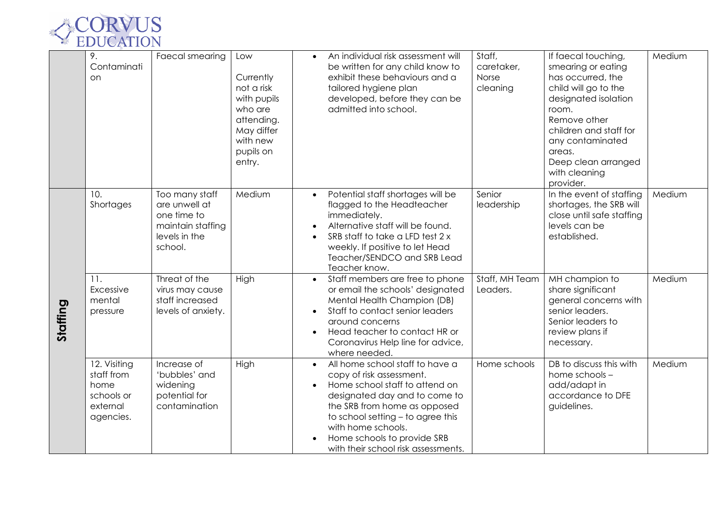

|          | 9.<br>Contaminati<br>on                                                   | Faecal smearing                                                                                 | Low<br>Currently<br>not a risk<br>with pupils<br>who are<br>attending.<br>May differ<br>with new<br>pupils on<br>entry. | Staff,<br>An individual risk assessment will<br>be written for any child know to<br>caretaker,<br>exhibit these behaviours and a<br>Norse<br>tailored hygiene plan<br>cleaning<br>developed, before they can be<br>admitted into school.                                                                        | If faecal touching,<br>smearing or eating<br>has occurred, the<br>child will go to the<br>designated isolation<br>room.<br>Remove other<br>children and staff for<br>any contaminated<br>areas.<br>Deep clean arranged<br>with cleaning<br>provider. | Medium |
|----------|---------------------------------------------------------------------------|-------------------------------------------------------------------------------------------------|-------------------------------------------------------------------------------------------------------------------------|-----------------------------------------------------------------------------------------------------------------------------------------------------------------------------------------------------------------------------------------------------------------------------------------------------------------|------------------------------------------------------------------------------------------------------------------------------------------------------------------------------------------------------------------------------------------------------|--------|
| Staffing | 10.<br>Shortages                                                          | Too many staff<br>are unwell at<br>one time to<br>maintain staffing<br>levels in the<br>school. | Medium                                                                                                                  | Senior<br>Potential staff shortages will be<br>flagged to the Headteacher<br>leadership<br>immediately.<br>Alternative staff will be found.<br>SRB staff to take a LFD test 2 x<br>weekly. If positive to let Head<br>Teacher/SENDCO and SRB Lead<br>Teacher know.                                              | In the event of staffing<br>shortages, the SRB will<br>close until safe staffing<br>levels can be<br>established.                                                                                                                                    | Medium |
|          | 11.<br>Excessive<br>mental<br>pressure                                    | Threat of the<br>virus may cause<br>staff increased<br>levels of anxiety.                       | High                                                                                                                    | Staff members are free to phone<br>Staff, MH Team<br>$\bullet$<br>or email the schools' designated<br>Leaders.<br>Mental Health Champion (DB)<br>Staff to contact senior leaders<br>around concerns<br>Head teacher to contact HR or<br>Coronavirus Help line for advice,<br>where needed.                      | MH champion to<br>share significant<br>general concerns with<br>senior leaders.<br>Senior leaders to<br>review plans if<br>necessary.                                                                                                                | Medium |
|          | 12. Visiting<br>staff from<br>home<br>schools or<br>external<br>agencies. | Increase of<br>'bubbles' and<br>widening<br>potential for<br>contamination                      | High                                                                                                                    | All home school staff to have a<br>Home schools<br>copy of risk assessment.<br>Home school staff to attend on<br>designated day and to come to<br>the SRB from home as opposed<br>to school setting - to agree this<br>with home schools.<br>Home schools to provide SRB<br>with their school risk assessments. | DB to discuss this with<br>home schools -<br>add/adapt in<br>accordance to DFE<br>guidelines.                                                                                                                                                        | Medium |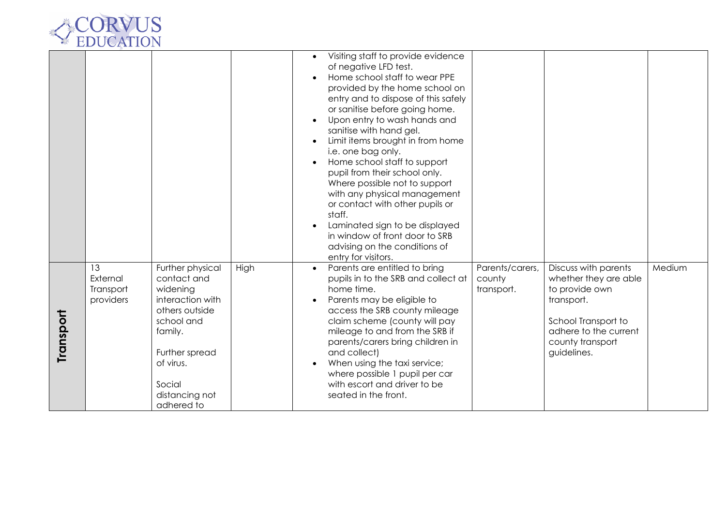

|           |                                          |                                                                                                                                                                                     |      | Visiting staff to provide evidence<br>of negative LFD test.<br>Home school staff to wear PPE<br>provided by the home school on<br>entry and to dispose of this safely<br>or sanitise before going home.<br>Upon entry to wash hands and<br>sanitise with hand gel.<br>Limit items brought in from home<br>i.e. one bag only.<br>Home school staff to support<br>$\bullet$<br>pupil from their school only.<br>Where possible not to support<br>with any physical management<br>or contact with other pupils or<br>staff.<br>Laminated sign to be displayed<br>in window of front door to SRB<br>advising on the conditions of<br>entry for visitors. |        |
|-----------|------------------------------------------|-------------------------------------------------------------------------------------------------------------------------------------------------------------------------------------|------|------------------------------------------------------------------------------------------------------------------------------------------------------------------------------------------------------------------------------------------------------------------------------------------------------------------------------------------------------------------------------------------------------------------------------------------------------------------------------------------------------------------------------------------------------------------------------------------------------------------------------------------------------|--------|
| Transport | 13<br>External<br>Transport<br>providers | Further physical<br>contact and<br>widening<br>interaction with<br>others outside<br>school and<br>family.<br>Further spread<br>of virus.<br>Social<br>distancing not<br>adhered to | High | Parents are entitled to bring<br>Parents/carers,<br>Discuss with parents<br>$\bullet$<br>pupils in to the SRB and collect at<br>whether they are able<br>county<br>home time.<br>to provide own<br>transport.<br>Parents may be eligible to<br>transport.<br>access the SRB county mileage<br>claim scheme (county will pay<br>School Transport to<br>adhere to the current<br>mileage to and from the SRB if<br>parents/carers bring children in<br>county transport<br>and collect)<br>guidelines.<br>When using the taxi service;<br>where possible 1 pupil per car<br>with escort and driver to be<br>seated in the front.                       | Medium |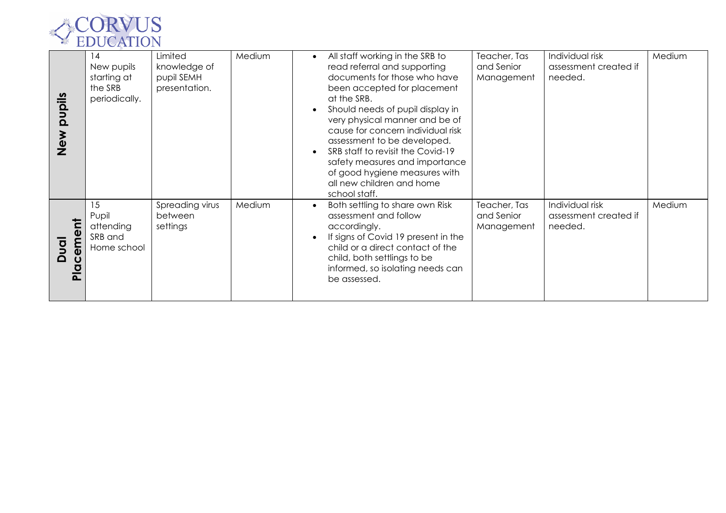

| pupils<br>Me<br>Next                                                   | 14<br>New pupils<br>starting at<br>the SRB<br>periodically. | Limited<br>knowledge of<br>pupil SEMH<br>presentation. | Medium | All staff working in the SRB to<br>read referral and supporting<br>documents for those who have<br>been accepted for placement<br>at the SRB.<br>Should needs of pupil display in<br>very physical manner and be of<br>cause for concern individual risk<br>assessment to be developed.<br>SRB staff to revisit the Covid-19<br>safety measures and importance<br>of good hygiene measures with<br>all new children and home | Teacher, Tas<br>and Senior<br>Management | Individual risk<br>assessment created if<br>needed. | Medium |
|------------------------------------------------------------------------|-------------------------------------------------------------|--------------------------------------------------------|--------|------------------------------------------------------------------------------------------------------------------------------------------------------------------------------------------------------------------------------------------------------------------------------------------------------------------------------------------------------------------------------------------------------------------------------|------------------------------------------|-----------------------------------------------------|--------|
| ΜŐ<br>$\overline{g}$<br>$\Omega$<br>$\ddot{\mathbf{C}}$<br>$rac{a}{b}$ | 15<br>Pupil<br>attending<br>SRB and<br>Home school          | Spreading virus<br>between<br>settings                 | Medium | school staff.<br>Both settling to share own Risk<br>assessment and follow<br>accordingly.<br>If signs of Covid 19 present in the<br>child or a direct contact of the<br>child, both settlings to be<br>informed, so isolating needs can<br>be assessed.                                                                                                                                                                      | Teacher, Tas<br>and Senior<br>Management | Individual risk<br>assessment created if<br>needed. | Medium |